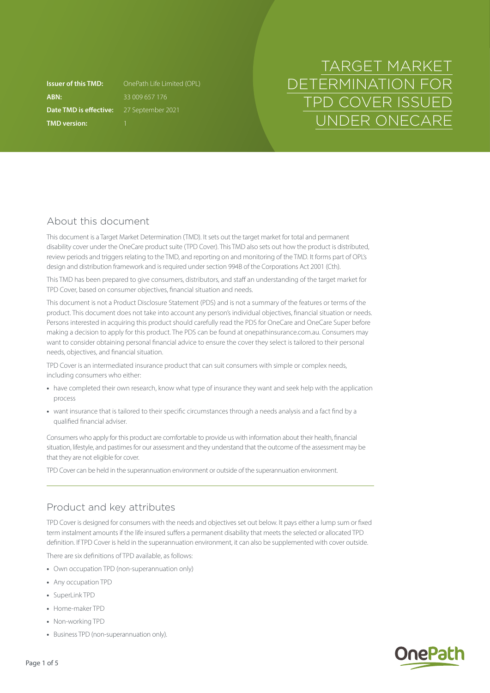**ABN:** 33 009 657 176 **Date TMD is effective:** 27 September 2021 **TMD version:** 1

**Issuer of this TMD:** OnePath Life Limited (OPL)

# TARGET MARKET DETERMINATION FOR TPD COVER ISSUED UNDER ONECARE

## About this document

This document is a Target Market Determination (TMD). It sets out the target market for total and permanent disability cover under the OneCare product suite (TPD Cover). This TMD also sets out how the product is distributed, review periods and triggers relating to the TMD, and reporting on and monitoring of the TMD. It forms part of OPL's design and distribution framework and is required under section 994B of the Corporations Act 2001 (Cth).

This TMD has been prepared to give consumers, distributors, and staff an understanding of the target market for TPD Cover, based on consumer objectives, financial situation and needs.

This document is not a Product Disclosure Statement (PDS) and is not a summary of the features or terms of the product. This document does not take into account any person's individual objectives, financial situation or needs. Persons interested in acquiring this product should carefully read the PDS for OneCare and OneCare Super before making a decision to apply for this product. The PDS can be found at [onepathinsurance.com.au.](http://onepathinsurance.com.au) Consumers may want to consider obtaining personal financial advice to ensure the cover they select is tailored to their personal needs, objectives, and financial situation.

TPD Cover is an intermediated insurance product that can suit consumers with simple or complex needs, including consumers who either:

- **•** have completed their own research, know what type of insurance they want and seek help with the application process
- **•** want insurance that is tailored to their specific circumstances through a needs analysis and a fact find by a qualified financial adviser.

Consumers who apply for this product are comfortable to provide us with information about their health, financial situation, lifestyle, and pastimes for our assessment and they understand that the outcome of the assessment may be that they are not eligible for cover.

TPD Cover can be held in the superannuation environment or outside of the superannuation environment.

## Product and key attributes

TPD Cover is designed for consumers with the needs and objectives set out below. It pays either a lump sum or fixed term instalment amounts if the life insured suffers a permanent disability that meets the selected or allocated TPD definition. If TPD Cover is held in the superannuation environment, it can also be supplemented with cover outside.

There are six definitions of TPD available, as follows:

- **•** Own occupation TPD (non-superannuation only)
- **•** Any occupation TPD
- **•** SuperLink TPD
- **•** Home-maker TPD
- **•** Non-working TPD
- **•** Business TPD (non-superannuation only).

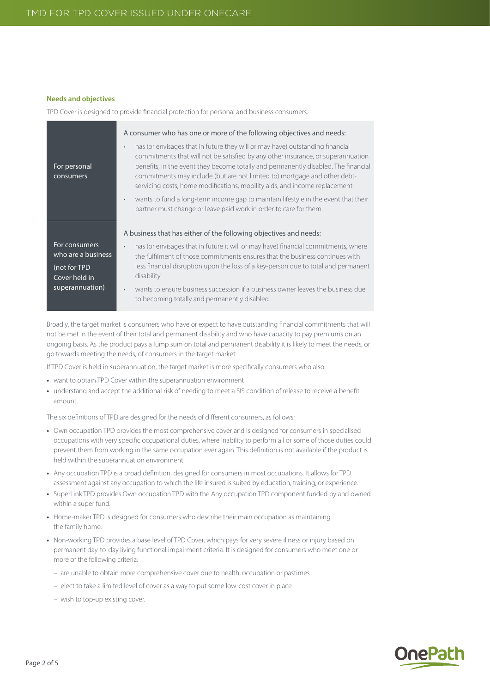#### **Needs and objectives**

TPD Cover is designed to provide financial protection for personal and business consumers.

| For personal<br>consumers                                                               | A consumer who has one or more of the following objectives and needs:<br>has (or envisages that in future they will or may have) outstanding financial<br>$\bullet$<br>commitments that will not be satisfied by any other insurance, or superannuation<br>benefits, in the event they become totally and permanently disabled. The financial<br>commitments may include (but are not limited to) mortgage and other debt-<br>servicing costs, home modifications, mobility aids, and income replacement<br>wants to fund a long-term income gap to maintain lifestyle in the event that their<br>$\bullet$<br>partner must change or leave paid work in order to care for them. |
|-----------------------------------------------------------------------------------------|----------------------------------------------------------------------------------------------------------------------------------------------------------------------------------------------------------------------------------------------------------------------------------------------------------------------------------------------------------------------------------------------------------------------------------------------------------------------------------------------------------------------------------------------------------------------------------------------------------------------------------------------------------------------------------|
| For consumers<br>who are a business<br>(not for TPD<br>Cover held in<br>superannuation) | A business that has either of the following objectives and needs:<br>has (or envisages that in future it will or may have) financial commitments, where<br>$\bullet$<br>the fulfilment of those commitments ensures that the business continues with<br>less financial disruption upon the loss of a key-person due to total and permanent<br>disability<br>wants to ensure business succession if a business owner leaves the business due<br>$\bullet$<br>to becoming totally and permanently disabled.                                                                                                                                                                        |

Broadly, the target market is consumers who have or expect to have outstanding financial commitments that will not be met in the event of their total and permanent disability and who have capacity to pay premiums on an ongoing basis. As the product pays a lump sum on total and permanent disability it is likely to meet the needs, or go towards meeting the needs, of consumers in the target market.

If TPD Cover is held in superannuation, the target market is more specifically consumers who also:

- **•** want to obtain TPD Cover within the superannuation environment
- **•** understand and accept the additional risk of needing to meet a SIS condition of release to receive a benefit amount.

The six definitions of TPD are designed for the needs of different consumers, as follows:

- **•** Own occupation TPD provides the most comprehensive cover and is designed for consumers in specialised occupations with very specific occupational duties, where inability to perform all or some of those duties could prevent them from working in the same occupation ever again. This definition is not available if the product is held within the superannuation environment.
- **•** Any occupation TPD is a broad definition, designed for consumers in most occupations. It allows for TPD assessment against any occupation to which the life insured is suited by education, training, or experience.
- **•** SuperLink TPD provides Own occupation TPD with the Any occupation TPD component funded by and owned within a super fund.
- **•** Home-maker TPD is designed for consumers who describe their main occupation as maintaining the family home.
- **•** Non-working TPD provides a base level of TPD Cover, which pays for very severe illness or injury based on permanent day-to-day living functional impairment criteria. It is designed for consumers who meet one or more of the following criteria:
	- are unable to obtain more comprehensive cover due to health, occupation or pastimes
	- elect to take a limited level of cover as a way to put some low-cost cover in place
	- wish to top-up existing cover.

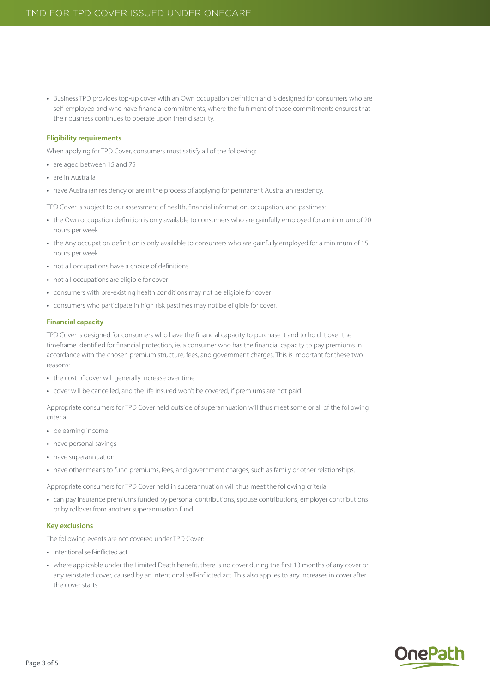**•** Business TPD provides top-up cover with an Own occupation definition and is designed for consumers who are self-employed and who have financial commitments, where the fulfilment of those commitments ensures that their business continues to operate upon their disability.

#### **Eligibility requirements**

When applying for TPD Cover, consumers must satisfy all of the following:

- **•** are aged between 15 and 75
- **•** are in Australia
- have Australian residency or are in the process of applying for permanent Australian residency.

TPD Cover is subject to our assessment of health, financial information, occupation, and pastimes:

- **•** the Own occupation definition is only available to consumers who are gainfully employed for a minimum of 20 hours per week
- **•** the Any occupation definition is only available to consumers who are gainfully employed for a minimum of 15 hours per week
- **•** not all occupations have a choice of definitions
- **•** not all occupations are eligible for cover
- **•** consumers with pre-existing health conditions may not be eligible for cover
- **•** consumers who participate in high risk pastimes may not be eligible for cover.

#### **Financial capacity**

TPD Cover is designed for consumers who have the financial capacity to purchase it and to hold it over the timeframe identified for financial protection, ie. a consumer who has the financial capacity to pay premiums in accordance with the chosen premium structure, fees, and government charges. This is important for these two reasons:

- **•** the cost of cover will generally increase over time
- **•** cover will be cancelled, and the life insured won't be covered, if premiums are not paid.

Appropriate consumers for TPD Cover held outside of superannuation will thus meet some or all of the following criteria:

- **•** be earning income
- **•** have personal savings
- **•** have superannuation
- **•** have other means to fund premiums, fees, and government charges, such as family or other relationships.

Appropriate consumers for TPD Cover held in superannuation will thus meet the following criteria:

**•** can pay insurance premiums funded by personal contributions, spouse contributions, employer contributions or by rollover from another superannuation fund.

#### **Key exclusions**

The following events are not covered under TPD Cover:

- **•** intentional self-inflicted act
- **•** where applicable under the Limited Death benefit, there is no cover during the first 13 months of any cover or any reinstated cover, caused by an intentional self-inflicted act. This also applies to any increases in cover after the cover starts.

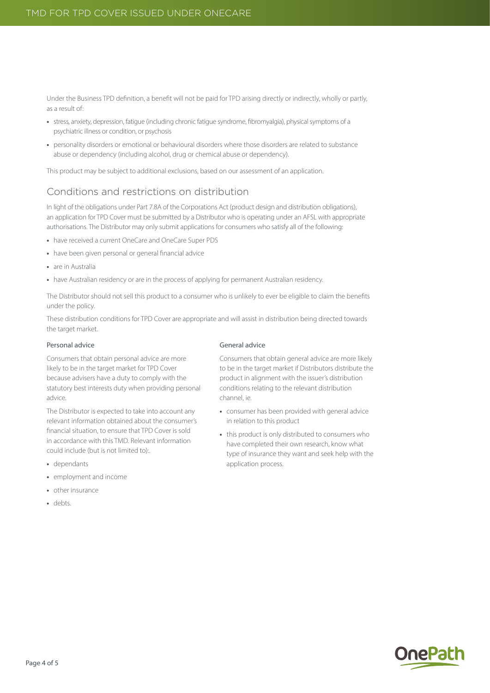Under the Business TPD definition, a benefit will not be paid for TPD arising directly or indirectly, wholly or partly, as a result of:

- **•** stress, anxiety, depression, fatigue (including chronic fatigue syndrome, fibromyalgia), physical symptoms of a psychiatric illness or condition, or psychosis
- **•** personality disorders or emotional or behavioural disorders where those disorders are related to substance abuse or dependency (including alcohol, drug or chemical abuse or dependency).

This product may be subject to additional exclusions, based on our assessment of an application.

### Conditions and restrictions on distribution

In light of the obligations under Part 7.8A of the Corporations Act (product design and distribution obligations), an application for TPD Cover must be submitted by a Distributor who is operating under an AFSL with appropriate authorisations. The Distributor may only submit applications for consumers who satisfy all of the following:

- **•** have received a current OneCare and OneCare Super PDS
- **•** have been given personal or general financial advice
- **•** are in Australia
- have Australian residency or are in the process of applying for permanent Australian residency.

The Distributor should not sell this product to a consumer who is unlikely to ever be eligible to claim the benefits under the policy.

These distribution conditions for TPD Cover are appropriate and will assist in distribution being directed towards the target market.

#### Personal advice

Consumers that obtain personal advice are more likely to be in the target market for TPD Cover because advisers have a duty to comply with the statutory best interests duty when providing personal advice.

The Distributor is expected to take into account any relevant information obtained about the consumer's financial situation, to ensure that TPD Cover is sold in accordance with this TMD. Relevant information could include (but is not limited to):.

- **•** dependants
- **•** employment and income
- **•** other insurance
- **•** debts.

#### General advice

Consumers that obtain general advice are more likely to be in the target market if Distributors distribute the product in alignment with the issuer's distribution conditions relating to the relevant distribution channel, ie.

- **•** consumer has been provided with general advice in relation to this product
- **•** this product is only distributed to consumers who have completed their own research, know what type of insurance they want and seek help with the application process.